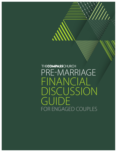THECOMPASSCHURCH PRE-MARRIAGE FINANCIAL DISCUSSION GUIDE FOR ENGAGED COUPLES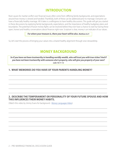# **INTRODUCTION**

Root causes for marital conflict over financial issues often come from: differing family backgrounds, and expectations around how money is viewed and handled. Thankfully, both of these can be addressed prior to marriage. Everyone can have a financially healthy marriage. All it takes is a willingness to have healthy discussions. This guide will get you started in these discussions by exploring family backgrounds, expectations, and the importance of healthy budgetary plans and boundaries. The potential of future money fights can be resolved before they ever have a chance to start by having these open, honest and healthy conversations about finances right now. Scripture is clear, money is an indicator of our values.

#### *For where your treasure is, there your heart will be also. Matthew 6:21*

So, let's start the process of bringing your values into a shared healthy alignment through wise stewardship.

# **MONEY BACKGROUND**

*So if you have not been trustworthy in handling worldly wealth, who will trust you with true riches? And if you have not been trustworthy with someone else's property, who will give you property of your own? Luke 16:11-12*

\_\_\_\_\_\_\_\_\_\_\_\_\_\_\_\_\_\_\_\_\_\_\_\_\_\_\_\_\_\_\_\_\_\_\_\_\_\_\_\_\_\_\_\_\_\_\_\_\_\_\_\_\_\_\_\_\_\_\_\_\_\_\_\_\_\_\_\_\_\_\_\_\_\_\_\_\_\_\_\_\_\_\_\_\_\_

\_\_\_\_\_\_\_\_\_\_\_\_\_\_\_\_\_\_\_\_\_\_\_\_\_\_\_\_\_\_\_\_\_\_\_\_\_\_\_\_\_\_\_\_\_\_\_\_\_\_\_\_\_\_\_\_\_\_\_\_\_\_\_\_\_\_\_\_\_\_\_\_\_\_\_\_\_\_\_\_\_\_\_\_\_\_

\_\_\_\_\_\_\_\_\_\_\_\_\_\_\_\_\_\_\_\_\_\_\_\_\_\_\_\_\_\_\_\_\_\_\_\_\_\_\_\_\_\_\_\_\_\_\_\_\_\_\_\_\_\_\_\_\_\_\_\_\_\_\_\_\_\_\_\_\_\_\_\_\_\_\_\_\_\_\_\_\_\_\_\_\_\_

\_\_\_\_\_\_\_\_\_\_\_\_\_\_\_\_\_\_\_\_\_\_\_\_\_\_\_\_\_\_\_\_\_\_\_\_\_\_\_\_\_\_\_\_\_\_\_\_\_\_\_\_\_\_\_\_\_\_\_\_\_\_\_\_\_\_\_\_\_\_\_\_\_\_\_\_\_\_\_\_\_\_\_\_\_\_

\_\_\_\_\_\_\_\_\_\_\_\_\_\_\_\_\_\_\_\_\_\_\_\_\_\_\_\_\_\_\_\_\_\_\_\_\_\_\_\_\_\_\_\_\_\_\_\_\_\_\_\_\_\_\_\_\_\_\_\_\_\_\_\_\_\_\_\_\_\_\_\_\_\_\_\_\_\_\_\_\_\_\_\_\_\_

## **1. WHAT MEMORIES DO YOU HAVE OF YOUR PARENTS HANDLING MONEY?**

## **2. DESCRIBE THE TEMPERAMENT OR PERSONALITY OF YOUR FUTURE SPOUSE AND HOW THIS INFLUENCES THEIR MONEY HABITS.**

\_\_\_\_\_\_\_\_\_\_\_\_\_\_\_\_\_\_\_\_\_\_\_\_\_\_\_\_\_\_\_\_\_\_\_\_\_\_\_\_\_\_\_\_\_\_\_\_\_\_\_\_\_\_\_\_\_\_\_\_\_\_\_\_\_\_\_\_\_\_\_\_\_\_\_\_\_\_\_\_\_\_\_\_\_\_

\_\_\_\_\_\_\_\_\_\_\_\_\_\_\_\_\_\_\_\_\_\_\_\_\_\_\_\_\_\_\_\_\_\_\_\_\_\_\_\_\_\_\_\_\_\_\_\_\_\_\_\_\_\_\_\_\_\_\_\_\_\_\_\_\_\_\_\_\_\_\_\_\_\_\_\_\_\_\_\_\_\_\_\_\_\_

\_\_\_\_\_\_\_\_\_\_\_\_\_\_\_\_\_\_\_\_\_\_\_\_\_\_\_\_\_\_\_\_\_\_\_\_\_\_\_\_\_\_\_\_\_\_\_\_\_\_\_\_\_\_\_\_\_\_\_\_\_\_\_\_\_\_\_\_\_\_\_\_\_\_\_\_\_\_\_\_\_\_\_\_\_\_

\_\_\_\_\_\_\_\_\_\_\_\_\_\_\_\_\_\_\_\_\_\_\_\_\_\_\_\_\_\_\_\_\_\_\_\_\_\_\_\_\_\_\_\_\_\_\_\_\_\_\_\_\_\_\_\_\_\_\_\_\_\_\_\_\_\_\_\_\_\_\_\_\_\_\_\_\_\_\_\_\_\_\_\_\_\_

\_\_\_\_\_\_\_\_\_\_\_\_\_\_\_\_\_\_\_\_\_\_\_\_\_\_\_\_\_\_\_\_\_\_\_\_\_\_\_\_\_\_\_\_\_\_\_\_\_\_\_\_\_\_\_\_\_\_\_\_\_\_\_\_\_\_\_\_\_\_\_\_\_\_\_\_\_\_\_\_\_\_\_\_\_\_

\_\_\_\_\_\_\_\_\_\_\_\_\_\_\_\_\_\_\_\_\_\_\_\_\_\_\_\_\_\_\_\_\_\_\_\_\_\_\_\_\_\_\_\_\_\_\_\_\_\_\_\_\_\_\_\_\_\_\_\_\_\_\_\_\_\_\_\_\_\_\_\_\_\_\_\_\_\_\_\_\_\_\_\_\_\_

(Watch this video by Jimmy Evans for background - [Money Languages Video](https://youtu.be/impSBw5yHcY))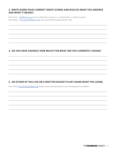## 3. WRITE DOWN YOUR CURRENT CREDIT SCORES AND DISCUSS WHAT YOU OBSERVE **AND WHAT IT MEANS?**

Free Score - CreditKarma.com (or any other free resource, i.e. current bank or credit accounts) Free Report - AnnualCreditReport.com (only government approved free site)

## 4. DO YOU HAVE SAVINGS? HOW MUCH? FOR WHAT ARE YOU CURRENTLY SAVING?

## 5. DO EITHER OF YOU LIVE ON A WRITTEN BUDGET PLAN? SHARE WHAT YOU LEARN.

Free Online EveryDollar Budget Tool (https://www.ramseysolutions.com/ramseyplus/everydollar)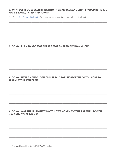#### 6. WHAT DEBTS DOES EACH BRING INTO THE MARRIAGE AND WHAT SHOULD BE REPAID FIRST, SECOND, THIRD, AND SO ON?

Free Online Debt Snowball Calculator (https://www.ramseysolutions.com/debt/debt-calculator)

## 7. DO YOU PLAN TO ADD MORE DEBT BEFORE MARRIAGE? HOW MUCH?

## 8. DO YOU HAVE AN AUTO LOAN OR IS IT PAID FOR? HOW OFTEN DO YOU HOPE TO **REPLACE YOUR VEHICLES?**

## 9. DO YOU OWE THE IRS MONEY? DO YOU OWE MONEY TO YOUR PARENTS? DO YOU **HAVE ANY OTHER LOANS?**

4 - PRE-MARRIAGE FINANCIAL DISCUSSION GUIDE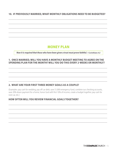10. IF PREVIOUSLY MARRIED, WHAT MONTHLY OBLIGATIONS NEED TO BE BUDGETED?

## **MONEY PLAN**

Now it is required that those who have been given a trust must prove faithful. 1 Corinthians 4:2

## 1. ONCE MARRIED, WILL YOU HAVE A MONTHLY BUDGET MEETING TO AGREE ON THE SPENDING PLAN FOR THE MONTH? WILL YOU DO THIS EVERY 2-WEEKS OR MONTHLY?

## 2. WHAT ARE YOUR FIRST THREE MONEY GOALS AS A COUPLE?

(Examples: pay cash for wedding, pay off car debt, save \$1,000 emergency fund, combine our checking accounts, save 20% down payment for a home, honor God with first 10% of income, create a budget together, pay cash for next car, etc.)

## **HOW OFTEN WILL YOU REVIEW FINANCIAL GOALS TOGETHER?**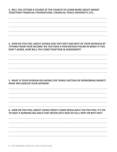## 3. WILL YOU ATTEND A COURSE AT THE CHURCH TO LEARN MORE ABOUT MONEY TOGETHER? FINANCIAL FOUNDATIONS, FINANCIAL PEACE UNIVERSITY, ETC.

## 4. HOW DO YOU FEEL ABOUT GIVING GOD THE FIRST AND BEST OF YOUR INCREASE BY TITHING FROM YOUR INCOME? DO YOU HAVE A PERCENTAGE FIGURE IN MIND? IF YOU DON'T AGREE, HOW WILL YOU COME TOGETHER IN AGREEMENT?

## 5. WHAT IS YOUR OPINION ON SAVING FOR THINGS INSTEAD OF BORROWING MONEY? **WHAT INFLUENCED YOUR OPINION?**

## 6. HOW DO YOU FEEL ABOUT USING CREDIT CARDS REGULARLY? DO YOU FEEL IT'S OK TO KEEP A RUNNING BALANCE THAT NEVER GETS PAID IN FULL? WHY OR WHY NOT?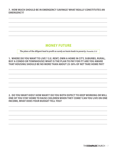7. HOW MUCH SHOULD BE IN EMERGENCY SAVINGS? WHAT REALLY CONSTITUTES AN **EMERGENCY?** 

## **MONEY FUTURE**

The plans of the diligent lead to profit as surely as haste leads to poverty. Proverbs 21:5

1. WHERE DO YOU WANT TO LIVE ? (I.E. RENT, OWN A HOME IN CITY, SUBURBS, RURAL, BUY A CONDO OR TOWNHOUSE) WHAT IS THE PLAN TO PAY FOR IT? ARE YOU AWARE THAT HOUSING SHOULD BE NO MORE THAN ABOUT 25-30% OF NET TAKE HOME PAY?

## 2. DO YOU WANT KIDS? HOW MANY? DO YOU BOTH EXPECT TO KEEP WORKING OR WILL ONE OF YOU STAY HOME TO RAISE CHILDREN WHEN THEY COME? CAN YOU LIVE ON ONE **INCOME, WHAT DOES YOUR BUDGET TELL YOU?**

THECOMPASSCHURCH - 7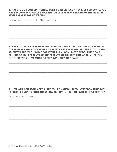## **3. HAVE YOU DISCUSSED THE NEED FOR LIFE INSURANCE WHEN KIDS COME? WILL YOU HAVE ENOUGH INSURANCE PROCEEDS TO FULLY REPLACE INCOME OF THE PRIMARY WAGE EARNER? FOR HOW LONG?**

\_\_\_\_\_\_\_\_\_\_\_\_\_\_\_\_\_\_\_\_\_\_\_\_\_\_\_\_\_\_\_\_\_\_\_\_\_\_\_\_\_\_\_\_\_\_\_\_\_\_\_\_\_\_\_\_\_\_\_\_\_\_\_\_\_\_\_\_\_\_\_\_\_\_\_\_\_\_\_\_\_\_\_\_\_\_

\_\_\_\_\_\_\_\_\_\_\_\_\_\_\_\_\_\_\_\_\_\_\_\_\_\_\_\_\_\_\_\_\_\_\_\_\_\_\_\_\_\_\_\_\_\_\_\_\_\_\_\_\_\_\_\_\_\_\_\_\_\_\_\_\_\_\_\_\_\_\_\_\_\_\_\_\_\_\_\_\_\_\_\_\_\_

\_\_\_\_\_\_\_\_\_\_\_\_\_\_\_\_\_\_\_\_\_\_\_\_\_\_\_\_\_\_\_\_\_\_\_\_\_\_\_\_\_\_\_\_\_\_\_\_\_\_\_\_\_\_\_\_\_\_\_\_\_\_\_\_\_\_\_\_\_\_\_\_\_\_\_\_\_\_\_\_\_\_\_\_\_\_

\_\_\_\_\_\_\_\_\_\_\_\_\_\_\_\_\_\_\_\_\_\_\_\_\_\_\_\_\_\_\_\_\_\_\_\_\_\_\_\_\_\_\_\_\_\_\_\_\_\_\_\_\_\_\_\_\_\_\_\_\_\_\_\_\_\_\_\_\_\_\_\_\_\_\_\_\_\_\_\_\_\_\_\_\_\_

Consider - Term Life Insurance at 10-12 times your income.

## **4. HAVE YOU TALKED ABOUT SAVING ENOUGH OVER A LIFETIME TO NOT DEPEND ON OTHERS WHEN YOU CAN'T WORK FOR HEALTH REASONS? HOW MUCH WILL YOU NEED WHEN YOU ARE "OLD"? WHAT DOES YOUR PLAN LOOK LIKE TO REACH THIS GOAL? TALKING TO YOUR PARENTS, GRANDPARENTS, OR TRUSTED FINANCIALLY HEALTHY OLDER FRIENDS - HOW MUCH DO THEY WISH THEY HAD SAVED?**

\_\_\_\_\_\_\_\_\_\_\_\_\_\_\_\_\_\_\_\_\_\_\_\_\_\_\_\_\_\_\_\_\_\_\_\_\_\_\_\_\_\_\_\_\_\_\_\_\_\_\_\_\_\_\_\_\_\_\_\_\_\_\_\_\_\_\_\_\_\_\_\_\_\_\_\_\_\_\_\_\_\_\_\_\_\_

\_\_\_\_\_\_\_\_\_\_\_\_\_\_\_\_\_\_\_\_\_\_\_\_\_\_\_\_\_\_\_\_\_\_\_\_\_\_\_\_\_\_\_\_\_\_\_\_\_\_\_\_\_\_\_\_\_\_\_\_\_\_\_\_\_\_\_\_\_\_\_\_\_\_\_\_\_\_\_\_\_\_\_\_\_\_

\_\_\_\_\_\_\_\_\_\_\_\_\_\_\_\_\_\_\_\_\_\_\_\_\_\_\_\_\_\_\_\_\_\_\_\_\_\_\_\_\_\_\_\_\_\_\_\_\_\_\_\_\_\_\_\_\_\_\_\_\_\_\_\_\_\_\_\_\_\_\_\_\_\_\_\_\_\_\_\_\_\_\_\_\_\_

\_\_\_\_\_\_\_\_\_\_\_\_\_\_\_\_\_\_\_\_\_\_\_\_\_\_\_\_\_\_\_\_\_\_\_\_\_\_\_\_\_\_\_\_\_\_\_\_\_\_\_\_\_\_\_\_\_\_\_\_\_\_\_\_\_\_\_\_\_\_\_\_\_\_\_\_\_\_\_\_\_\_\_\_\_\_

\_\_\_\_\_\_\_\_\_\_\_\_\_\_\_\_\_\_\_\_\_\_\_\_\_\_\_\_\_\_\_\_\_\_\_\_\_\_\_\_\_\_\_\_\_\_\_\_\_\_\_\_\_\_\_\_\_\_\_\_\_\_\_\_\_\_\_\_\_\_\_\_\_\_\_\_\_\_\_\_\_\_\_\_\_\_

## **5. HOW WILL YOU REGULARLY SHARE YOUR FINANCIAL ACCOUNT INFORMATION WITH EACH OTHER SO YOU BOTH KNOW HOW MUCH YOU HAVE AND WHERE IT IS LOCATED?**

\_\_\_\_\_\_\_\_\_\_\_\_\_\_\_\_\_\_\_\_\_\_\_\_\_\_\_\_\_\_\_\_\_\_\_\_\_\_\_\_\_\_\_\_\_\_\_\_\_\_\_\_\_\_\_\_\_\_\_\_\_\_\_\_\_\_\_\_\_\_\_\_\_\_\_\_\_\_\_\_\_\_\_\_\_\_

\_\_\_\_\_\_\_\_\_\_\_\_\_\_\_\_\_\_\_\_\_\_\_\_\_\_\_\_\_\_\_\_\_\_\_\_\_\_\_\_\_\_\_\_\_\_\_\_\_\_\_\_\_\_\_\_\_\_\_\_\_\_\_\_\_\_\_\_\_\_\_\_\_\_\_\_\_\_\_\_\_\_\_\_\_\_

\_\_\_\_\_\_\_\_\_\_\_\_\_\_\_\_\_\_\_\_\_\_\_\_\_\_\_\_\_\_\_\_\_\_\_\_\_\_\_\_\_\_\_\_\_\_\_\_\_\_\_\_\_\_\_\_\_\_\_\_\_\_\_\_\_\_\_\_\_\_\_\_\_\_\_\_\_\_\_\_\_\_\_\_\_\_

\_\_\_\_\_\_\_\_\_\_\_\_\_\_\_\_\_\_\_\_\_\_\_\_\_\_\_\_\_\_\_\_\_\_\_\_\_\_\_\_\_\_\_\_\_\_\_\_\_\_\_\_\_\_\_\_\_\_\_\_\_\_\_\_\_\_\_\_\_\_\_\_\_\_\_\_\_\_\_\_\_\_\_\_\_\_

\_\_\_\_\_\_\_\_\_\_\_\_\_\_\_\_\_\_\_\_\_\_\_\_\_\_\_\_\_\_\_\_\_\_\_\_\_\_\_\_\_\_\_\_\_\_\_\_\_\_\_\_\_\_\_\_\_\_\_\_\_\_\_\_\_\_\_\_\_\_\_\_\_\_\_\_\_\_\_\_\_\_\_\_\_\_

What about account passwords?

8 – PRE-MARRIAGE FINANCIAL DISCUSSION GUIDE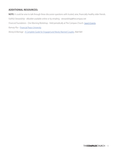## **ADDITIONAL RESOURCES:**

**NOTE:** It could be wise to talk through these discussion questions with trusted, wise, financially-healthy older friends. *Faithful Stewardship* - eBooklet available online or by emailing - stewardship@thecompass.net *Financial Foundations* - One Morning Workshop - Held periodically at The Compass Church. [Search Events.](https://www.thecompass.net/Event) *Ramsey Plus -* [Financial Peace University](https://www.ramseysolutions.com/ramseyplus/financial-peace?snid=guided-plans.pay-off-debt-and-build-wealth.ramsey+.learn-with-financialpeace) *Money & Marriage -* [A Complete Guide for Engaged and Newly Married Couples](https://www.amazon.com/Money-Marriage-Complete-Engaged-Married/dp/1723993115/ref=sr_1_2?dchild=1&keywords=Money+and+marriage&qid=1620761410&sr=8-2)*,* Matt Bell